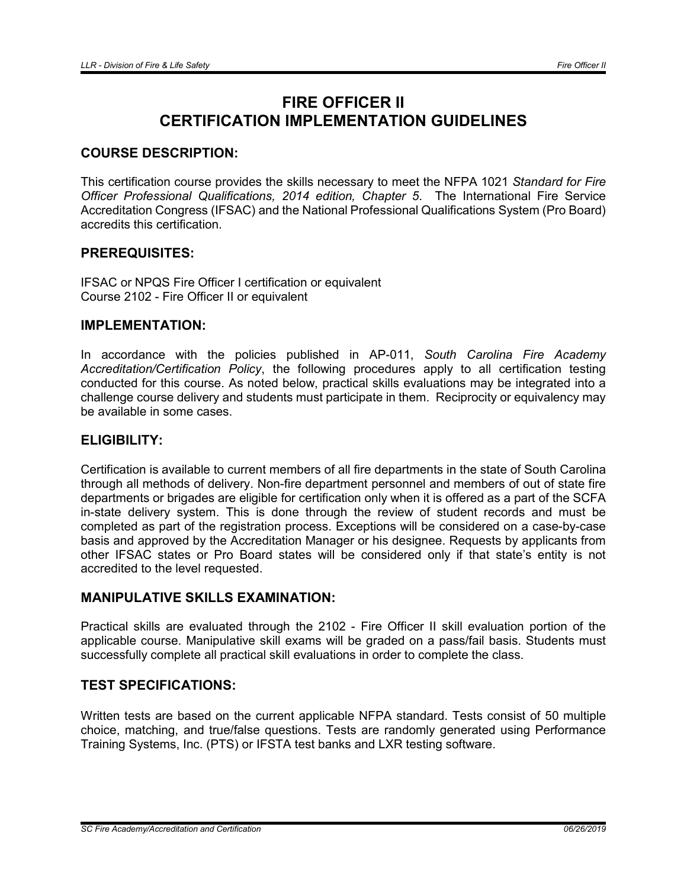# FIRE OFFICER II CERTIFICATION IMPLEMENTATION GUIDELINES

# COURSE DESCRIPTION:

This certification course provides the skills necessary to meet the NFPA 1021 *Standard for Fire Officer Professional Qualifications, 2014 edition, Chapter 5*. The International Fire Service Accreditation Congress (IFSAC) and the National Professional Qualifications System (Pro Board) accredits this certification.

# PREREQUISITES:

IFSAC or NPQS Fire Officer I certification or equivalent Course 2102 - Fire Officer II or equivalent

#### IMPLEMENTATION:

In accordance with the policies published in AP-011, *South Carolina Fire Academy Accreditation/Certification Policy*, the following procedures apply to all certification testing conducted for this course. As noted below, practical skills evaluations may be integrated into a challenge course delivery and students must participate in them. Reciprocity or equivalency may be available in some cases.

## ELIGIBILITY:

Certification is available to current members of all fire departments in the state of South Carolina through all methods of delivery. Non-fire department personnel and members of out of state fire departments or brigades are eligible for certification only when it is offered as a part of the SCFA in-state delivery system. This is done through the review of student records and must be completed as part of the registration process. Exceptions will be considered on a case-by-case basis and approved by the Accreditation Manager or his designee. Requests by applicants from other IFSAC states or Pro Board states will be considered only if that state's entity is not accredited to the level requested.

# MANIPULATIVE SKILLS EXAMINATION:

Practical skills are evaluated through the 2102 - Fire Officer II skill evaluation portion of the applicable course. Manipulative skill exams will be graded on a pass/fail basis. Students must successfully complete all practical skill evaluations in order to complete the class.

# TEST SPECIFICATIONS:

Written tests are based on the current applicable NFPA standard. Tests consist of 50 multiple choice, matching, and true/false questions. Tests are randomly generated using Performance Training Systems, Inc. (PTS) or IFSTA test banks and LXR testing software.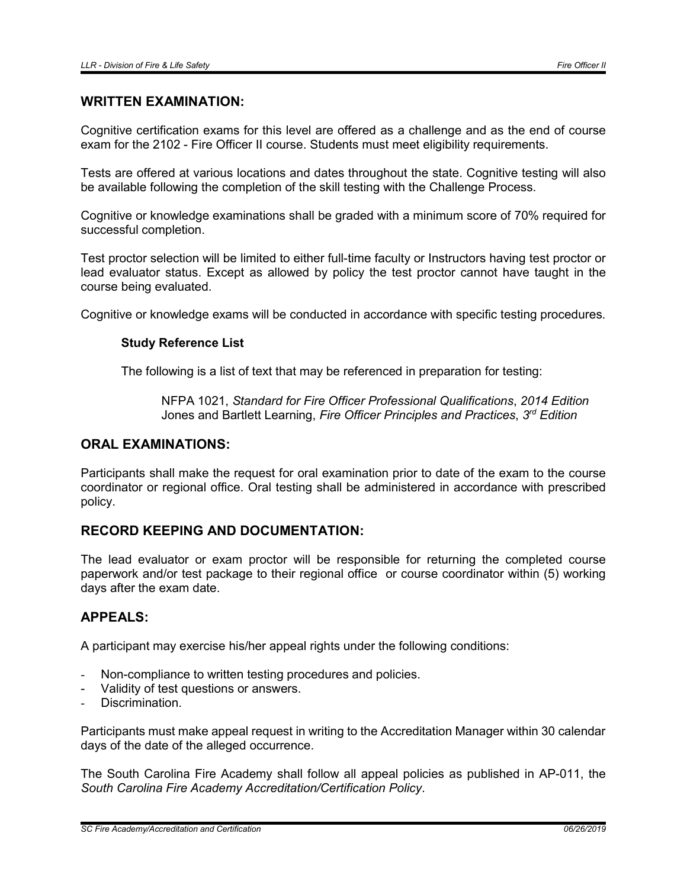#### WRITTEN EXAMINATION:

Cognitive certification exams for this level are offered as a challenge and as the end of course exam for the 2102 - Fire Officer II course. Students must meet eligibility requirements.

Tests are offered at various locations and dates throughout the state. Cognitive testing will also be available following the completion of the skill testing with the Challenge Process.

Cognitive or knowledge examinations shall be graded with a minimum score of 70% required for successful completion.

Test proctor selection will be limited to either full-time faculty or Instructors having test proctor or lead evaluator status. Except as allowed by policy the test proctor cannot have taught in the course being evaluated.

Cognitive or knowledge exams will be conducted in accordance with specific testing procedures.

#### Study Reference List

The following is a list of text that may be referenced in preparation for testing:

NFPA 1021, *Standard for Fire Officer Professional Qualifications*, *2014 Edition* Jones and Bartlett Learning, *Fire Officer Principles and Practices*, *3rd Edition*

#### ORAL EXAMINATIONS:

Participants shall make the request for oral examination prior to date of the exam to the course coordinator or regional office. Oral testing shall be administered in accordance with prescribed policy.

# RECORD KEEPING AND DOCUMENTATION:

The lead evaluator or exam proctor will be responsible for returning the completed course paperwork and/or test package to their regional office or course coordinator within (5) working days after the exam date.

#### APPEALS:

A participant may exercise his/her appeal rights under the following conditions:

- Non-compliance to written testing procedures and policies.
- Validity of test questions or answers.
- Discrimination.

Participants must make appeal request in writing to the Accreditation Manager within 30 calendar days of the date of the alleged occurrence.

The South Carolina Fire Academy shall follow all appeal policies as published in AP-011, the *South Carolina Fire Academy Accreditation/Certification Policy*.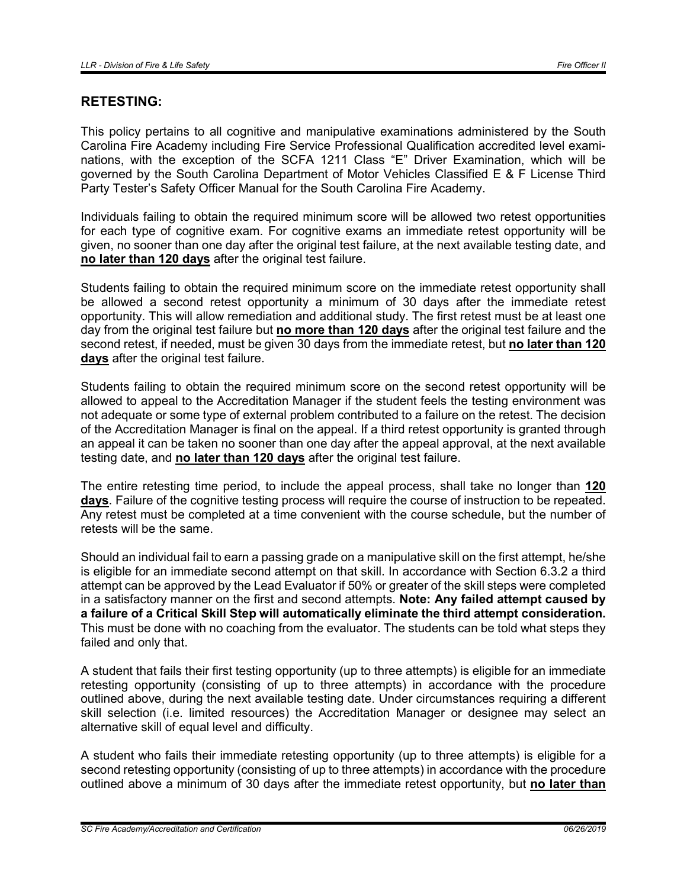# RETESTING:

This policy pertains to all cognitive and manipulative examinations administered by the South Carolina Fire Academy including Fire Service Professional Qualification accredited level examinations, with the exception of the SCFA 1211 Class "E" Driver Examination, which will be governed by the South Carolina Department of Motor Vehicles Classified E & F License Third Party Tester's Safety Officer Manual for the South Carolina Fire Academy.

Individuals failing to obtain the required minimum score will be allowed two retest opportunities for each type of cognitive exam. For cognitive exams an immediate retest opportunity will be given, no sooner than one day after the original test failure, at the next available testing date, and no later than 120 days after the original test failure.

Students failing to obtain the required minimum score on the immediate retest opportunity shall be allowed a second retest opportunity a minimum of 30 days after the immediate retest opportunity. This will allow remediation and additional study. The first retest must be at least one day from the original test failure but no more than 120 days after the original test failure and the second retest, if needed, must be given 30 days from the immediate retest, but no later than 120 days after the original test failure.

Students failing to obtain the required minimum score on the second retest opportunity will be allowed to appeal to the Accreditation Manager if the student feels the testing environment was not adequate or some type of external problem contributed to a failure on the retest. The decision of the Accreditation Manager is final on the appeal. If a third retest opportunity is granted through an appeal it can be taken no sooner than one day after the appeal approval, at the next available testing date, and no later than 120 days after the original test failure.

The entire retesting time period, to include the appeal process, shall take no longer than 120 days. Failure of the cognitive testing process will require the course of instruction to be repeated. Any retest must be completed at a time convenient with the course schedule, but the number of retests will be the same.

Should an individual fail to earn a passing grade on a manipulative skill on the first attempt, he/she is eligible for an immediate second attempt on that skill. In accordance with Section 6.3.2 a third attempt can be approved by the Lead Evaluator if 50% or greater of the skill steps were completed in a satisfactory manner on the first and second attempts. Note: Any failed attempt caused by a failure of a Critical Skill Step will automatically eliminate the third attempt consideration. This must be done with no coaching from the evaluator. The students can be told what steps they failed and only that.

A student that fails their first testing opportunity (up to three attempts) is eligible for an immediate retesting opportunity (consisting of up to three attempts) in accordance with the procedure outlined above, during the next available testing date. Under circumstances requiring a different skill selection (i.e. limited resources) the Accreditation Manager or designee may select an alternative skill of equal level and difficulty.

A student who fails their immediate retesting opportunity (up to three attempts) is eligible for a second retesting opportunity (consisting of up to three attempts) in accordance with the procedure outlined above a minimum of 30 days after the immediate retest opportunity, but no later than